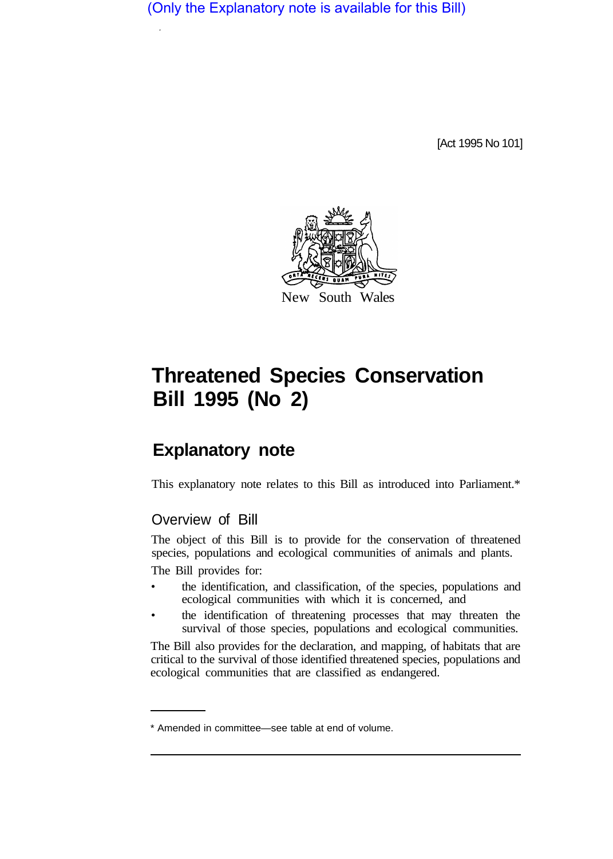(Only the Explanatory note is available for this Bill)

[Act 1995 No 101]



# **Threatened Species Conservation Bill 1995 (No 2)**

# **Explanatory note**

This explanatory note relates to this Bill as introduced into Parliament.\*

## Overview of Bill

The object of this Bill is to provide for the conservation of threatened species, populations and ecological communities of animals and plants.

The Bill provides for:

- the identification, and classification, of the species, populations and ecological communities with which it is concerned, and
- the identification of threatening processes that may threaten the survival of those species, populations and ecological communities.

The Bill also provides for the declaration, and mapping, of habitats that are critical to the survival of those identified threatened species, populations and ecological communities that are classified as endangered.

<sup>\*</sup> Amended in committee—see table at end of volume.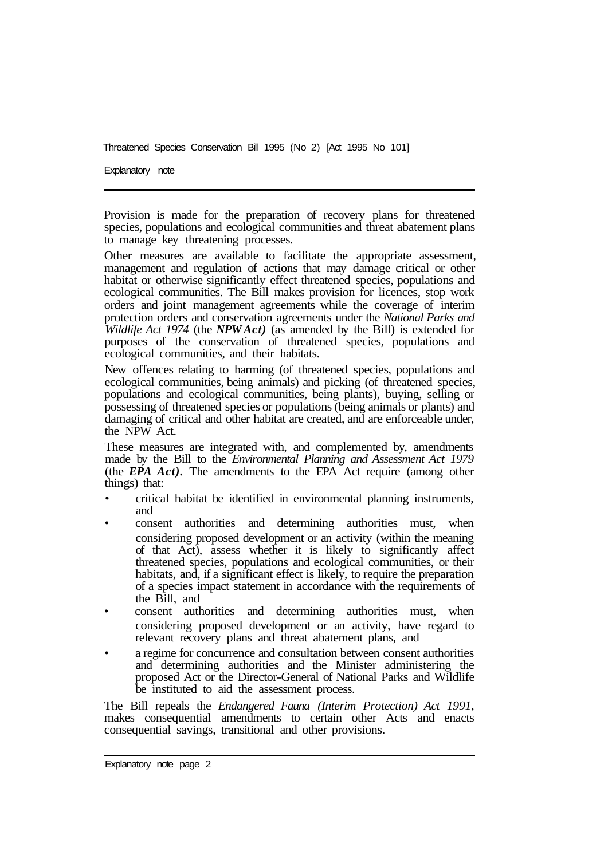Explanatory note

Provision is made for the preparation of recovery plans for threatened species, populations and ecological communities and threat abatement plans to manage key threatening processes.

Other measures are available to facilitate the appropriate assessment, management and regulation of actions that may damage critical or other habitat or otherwise significantly effect threatened species, populations and ecological communities. The Bill makes provision for licences, stop work orders and joint management agreements while the coverage of interim protection orders and conservation agreements under the *National Parks and Wildlife Act 1974* (the *NPW Act*) (as amended by the Bill) is extended for purposes of the conservation of threatened species, populations and ecological communities, and their habitats.

New offences relating to harming (of threatened species, populations and ecological communities, being animals) and picking (of threatened species, populations and ecological communities, being plants), buying, selling or possessing of threatened species or populations (being animals or plants) and damaging of critical and other habitat are created, and are enforceable under, the NPW Act.

These measures are integrated with, and complemented by, amendments made by the Bill to the *Environmental Planning and Assessment Act 1979*  (the *EPA Act).* The amendments to the EPA Act require (among other things) that:

- critical habitat be identified in environmental planning instruments, and
- consent authorities and determining authorities must, when considering proposed development or an activity (within the meaning of that Act), assess whether it is likely to significantly affect threatened species, populations and ecological communities, or their habitats, and, if a significant effect is likely, to require the preparation of a species impact statement in accordance with the requirements of the Bill, and
- consent authorities and determining authorities must, when considering proposed development or an activity, have regard to relevant recovery plans and threat abatement plans, and
- a regime for concurrence and consultation between consent authorities and determining authorities and the Minister administering the proposed Act or the Director-General of National Parks and Wildlife be instituted to aid the assessment process.

The Bill repeals the *Endangered Fauna (Interim Protection) Act 1991,*  makes consequential amendments to certain other Acts and enacts consequential savings, transitional and other provisions.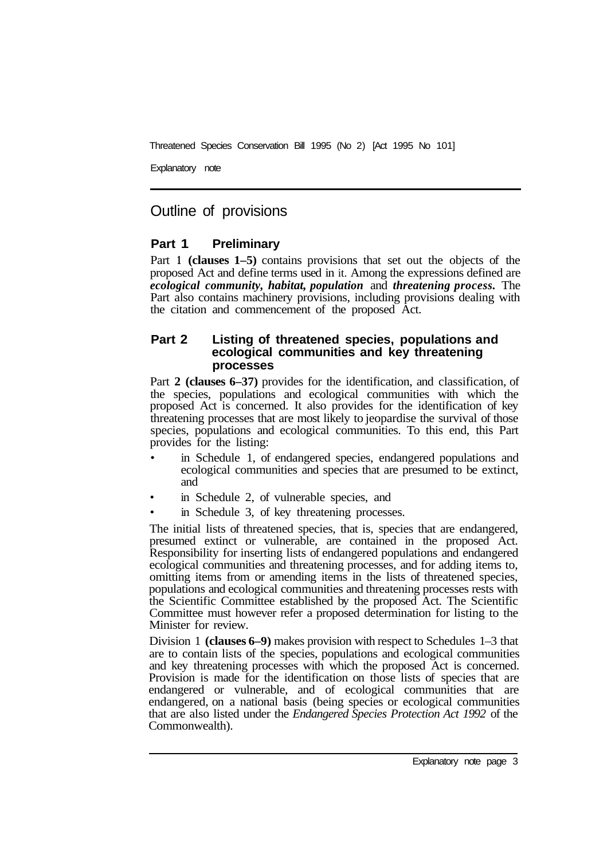Explanatory note

### Outline of provisions

#### **Part 1 Preliminary**

Part **1 (clauses 1–5)** contains provisions that set out the objects of the proposed Act and define terms used in it. Among the expressions defined are *ecological community, habitat, population* and *threatening process.* The Part also contains machinery provisions, including provisions dealing with the citation and commencement of the proposed Act.

#### **Part 2 Listing of threatened species, populations and ecological communities and key threatening processes**

Part **2 (clauses 6–37)** provides for the identification, and classification, of the species, populations and ecological communities with which the proposed Act is concerned. It also provides for the identification of key threatening processes that are most likely to jeopardise the survival of those species, populations and ecological communities. To this end, this Part provides for the listing:

- in Schedule 1, of endangered species, endangered populations and ecological communities and species that are presumed to be extinct, and
- in Schedule 2, of vulnerable species, and
- in Schedule 3, of key threatening processes.

The initial lists of threatened species, that is, species that are endangered, presumed extinct or vulnerable, are contained in the proposed Act. Responsibility for inserting lists of endangered populations and endangered ecological communities and threatening processes, and for adding items to, omitting items from or amending items in the lists of threatened species, populations and ecological communities and threatening processes rests with the Scientific Committee established by the proposed Act. The Scientific Committee must however refer a proposed determination for listing to the Minister for review.

Division 1 **(clauses 6–9)** makes provision with respect to Schedules 1–3 that are to contain lists of the species, populations and ecological communities and key threatening processes with which the proposed Act is concerned. Provision is made for the identification on those lists of species that are endangered or vulnerable, and of ecological communities that are endangered, on a national basis (being species or ecological communities that are also listed under the *Endangered Species Protection Act 1992* of the Commonwealth).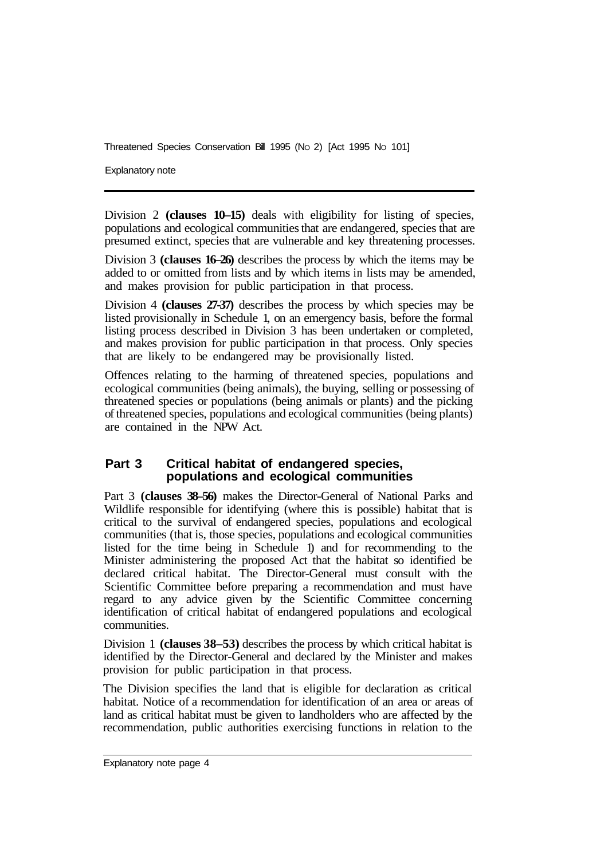Explanatory note

Division 2 **(clauses 10–15)** deals with eligibility for listing of species, populations and ecological communities that are endangered, species that are presumed extinct, species that are vulnerable and key threatening processes.

Division 3 **(clauses 16–26)** describes the process by which the items may be added to or omitted from lists and by which items in lists may be amended, and makes provision for public participation in that process.

Division 4 **(clauses 27-37)** describes the process by which species may be listed provisionally in Schedule 1, on an emergency basis, before the formal listing process described in Division 3 has been undertaken or completed, and makes provision for public participation in that process. Only species that are likely to be endangered may be provisionally listed.

Offences relating to the harming of threatened species, populations and ecological communities (being animals), the buying, selling or possessing of threatened species or populations (being animals or plants) and the picking of threatened species, populations and ecological communities (being plants) are contained in the NPW Act.

#### **Part 3 Critical habitat of endangered species, populations and ecological communities**

Part 3 **(clauses 38–56)** makes the Director-General of National Parks and Wildlife responsible for identifying (where this is possible) habitat that is critical to the survival of endangered species, populations and ecological communities (that is, those species, populations and ecological communities listed for the time being in Schedule 1) and for recommending to the Minister administering the proposed Act that the habitat so identified be declared critical habitat. The Director-General must consult with the Scientific Committee before preparing a recommendation and must have regard to any advice given by the Scientific Committee concerning identification of critical habitat of endangered populations and ecological communities.

Division 1 **(clauses 38–53)** describes the process by which critical habitat is identified by the Director-General and declared by the Minister and makes provision for public participation in that process.

The Division specifies the land that is eligible for declaration as critical habitat. Notice of a recommendation for identification of an area or areas of land as critical habitat must be given to landholders who are affected by the recommendation, public authorities exercising functions in relation to the

Explanatory note page 4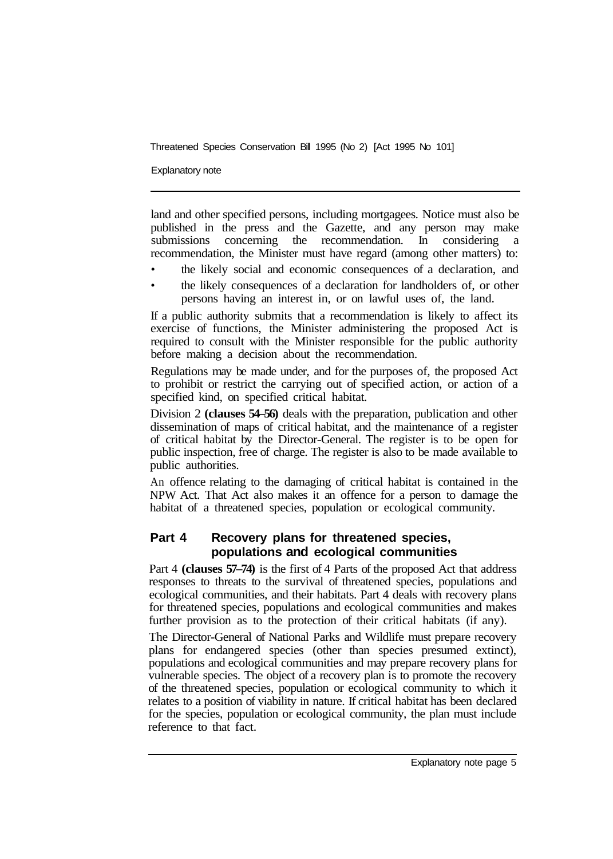Explanatory note

land and other specified persons, including mortgagees. Notice must also be published in the press and the Gazette, and any person may make submissions concerning the recommendation. In considering a recommendation, the Minister must have regard (among other matters) to:

- the likely social and economic consequences of a declaration, and
- the likely consequences of a declaration for landholders of, or other persons having an interest in, or on lawful uses of, the land.

If a public authority submits that a recommendation is likely to affect its exercise of functions, the Minister administering the proposed Act is required to consult with the Minister responsible for the public authority before making a decision about the recommendation.

Regulations may be made under, and for the purposes of, the proposed Act to prohibit or restrict the carrying out of specified action, or action of a specified kind, on specified critical habitat.

Division 2 **(clauses 54–56)** deals with the preparation, publication and other dissemination of maps of critical habitat, and the maintenance of a register of critical habitat by the Director-General. The register is to be open for public inspection, free of charge. The register is also to be made available to public authorities.

An offence relating to the damaging of critical habitat is contained in the NPW Act. That Act also makes it an offence for a person to damage the habitat of a threatened species, population or ecological community.

#### **Part 4 Recovery plans for threatened species, populations and ecological communities**

Part 4 **(clauses 57–74)** is the first of 4 Parts of the proposed Act that address responses to threats to the survival of threatened species, populations and ecological communities, and their habitats. Part 4 deals with recovery plans for threatened species, populations and ecological communities and makes further provision as to the protection of their critical habitats (if any).

The Director-General of National Parks and Wildlife must prepare recovery plans for endangered species (other than species presumed extinct), populations and ecological communities and may prepare recovery plans for vulnerable species. The object of a recovery plan is to promote the recovery of the threatened species, population or ecological community to which it relates to a position of viability in nature. If critical habitat has been declared for the species, population or ecological community, the plan must include reference to that fact.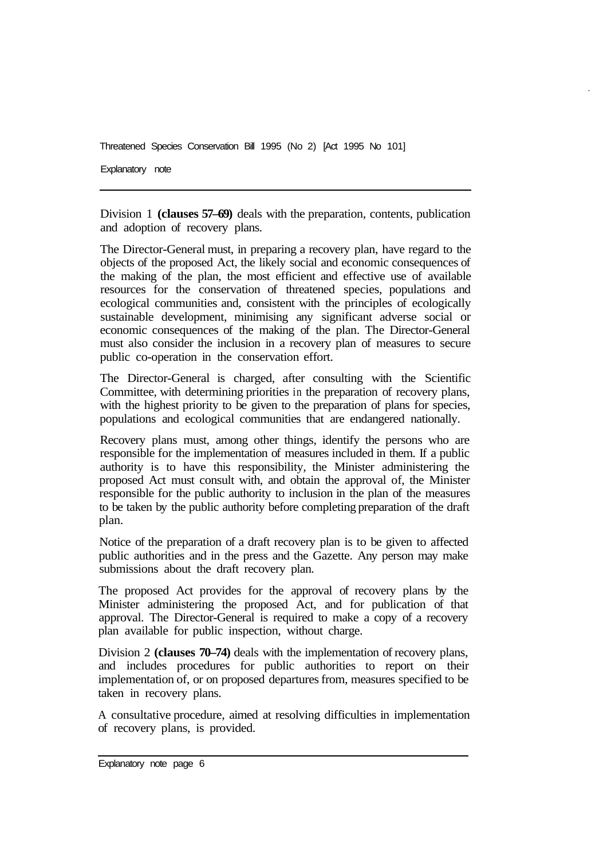Explanatory note

Division 1 **(clauses 57–69)** deals with the preparation, contents, publication and adoption of recovery plans.

The Director-General must, in preparing a recovery plan, have regard to the objects of the proposed Act, the likely social and economic consequences of the making of the plan, the most efficient and effective use of available resources for the conservation of threatened species, populations and ecological communities and, consistent with the principles of ecologically sustainable development, minimising any significant adverse social or economic consequences of the making of the plan. The Director-General must also consider the inclusion in a recovery plan of measures to secure public co-operation in the conservation effort.

The Director-General is charged, after consulting with the Scientific Committee, with determining priorities in the preparation of recovery plans, with the highest priority to be given to the preparation of plans for species, populations and ecological communities that are endangered nationally.

Recovery plans must, among other things, identify the persons who are responsible for the implementation of measures included in them. If a public authority is to have this responsibility, the Minister administering the proposed Act must consult with, and obtain the approval of, the Minister responsible for the public authority to inclusion in the plan of the measures to be taken by the public authority before completing preparation of the draft plan.

Notice of the preparation of a draft recovery plan is to be given to affected public authorities and in the press and the Gazette. Any person may make submissions about the draft recovery plan.

The proposed Act provides for the approval of recovery plans by the Minister administering the proposed Act, and for publication of that approval. The Director-General is required to make a copy of a recovery plan available for public inspection, without charge.

Division 2 **(clauses 70–74)** deals with the implementation of recovery plans, and includes procedures for public authorities to report on their implementation of, or on proposed departures from, measures specified to be taken in recovery plans.

A consultative procedure, aimed at resolving difficulties in implementation of recovery plans, is provided.

Explanatory note page 6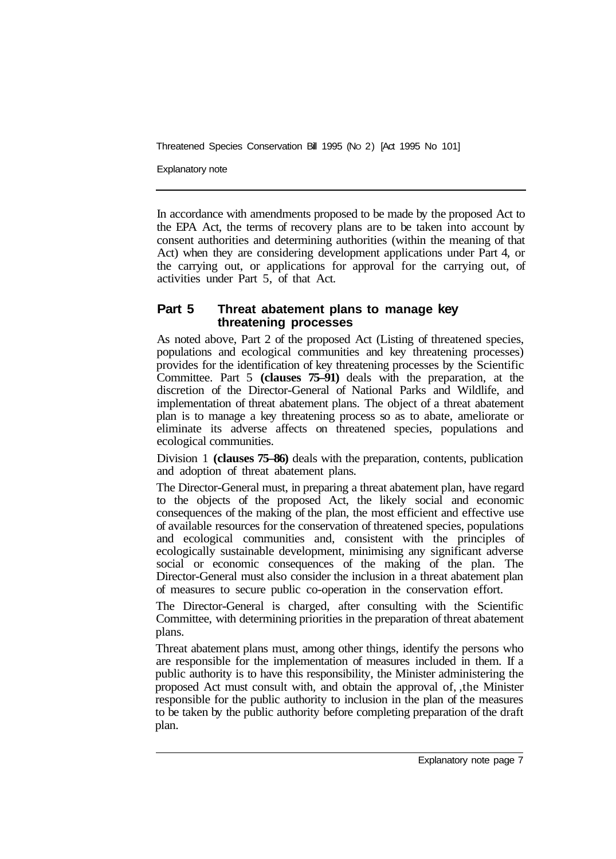Explanatory note

In accordance with amendments proposed to be made by the proposed Act to the EPA Act, the terms of recovery plans are to be taken into account by consent authorities and determining authorities (within the meaning of that Act) when they are considering development applications under Part 4, or the carrying out, or applications for approval for the carrying out, of activities under Part 5, of that Act.

#### **Part 5 Threat abatement plans to manage key threatening processes**

As noted above, Part 2 of the proposed Act (Listing of threatened species, populations and ecological communities and key threatening processes) provides for the identification of key threatening processes by the Scientific Committee. Part 5 **(clauses 75–91)** deals with the preparation, at the discretion of the Director-General of National Parks and Wildlife, and implementation of threat abatement plans. The object of a threat abatement plan is to manage a key threatening process so as to abate, ameliorate or eliminate its adverse affects on threatened species, populations and ecological communities.

Division 1 **(clauses 75–86)** deals with the preparation, contents, publication and adoption of threat abatement plans.

The Director-General must, in preparing a threat abatement plan, have regard to the objects of the proposed Act, the likely social and economic consequences of the making of the plan, the most efficient and effective use of available resources for the conservation of threatened species, populations and ecological communities and, consistent with the principles of ecologically sustainable development, minimising any significant adverse social or economic consequences of the making of the plan. The Director-General must also consider the inclusion in a threat abatement plan of measures to secure public co-operation in the conservation effort.

The Director-General is charged, after consulting with the Scientific Committee, with determining priorities in the preparation of threat abatement plans.

Threat abatement plans must, among other things, identify the persons who are responsible for the implementation of measures included in them. If a public authority is to have this responsibility, the Minister administering the proposed Act must consult with, and obtain the approval of, ,the Minister responsible for the public authority to inclusion in the plan of the measures to be taken by the public authority before completing preparation of the draft plan.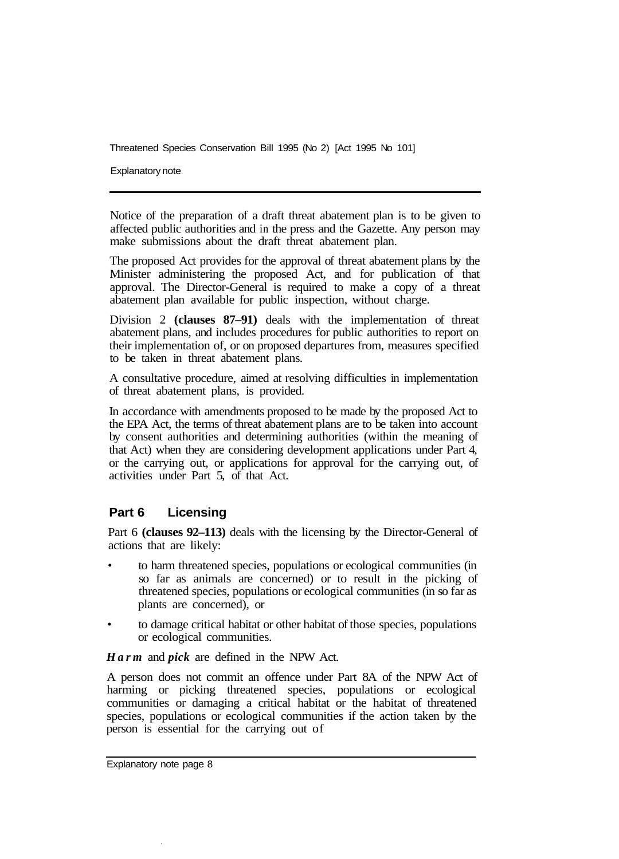Explanatory note

Notice of the preparation of a draft threat abatement plan is to be given to affected public authorities and in the press and the Gazette. Any person may make submissions about the draft threat abatement plan.

The proposed Act provides for the approval of threat abatement plans by the Minister administering the proposed Act, and for publication of that approval. The Director-General is required to make a copy of a threat abatement plan available for public inspection, without charge.

Division 2 **(clauses 87–91)** deals with the implementation of threat abatement plans, and includes procedures for public authorities to report on their implementation of, or on proposed departures from, measures specified to be taken in threat abatement plans.

A consultative procedure, aimed at resolving difficulties in implementation of threat abatement plans, is provided.

In accordance with amendments proposed to be made by the proposed Act to the EPA Act, the terms of threat abatement plans are to be taken into account by consent authorities and determining authorities (within the meaning of that Act) when they are considering development applications under Part 4, or the carrying out, or applications for approval for the carrying out, of activities under Part 5, of that Act.

#### **Part 6 Licensing**

Part 6 **(clauses 92–113)** deals with the licensing by the Director-General of actions that are likely:

- to harm threatened species, populations or ecological communities (in so far as animals are concerned) or to result in the picking of threatened species, populations or ecological communities (in so far as plants are concerned), or
- to damage critical habitat or other habitat of those species, populations or ecological communities.

*Harm* and *pick* are defined in the NPW Act.

A person does not commit an offence under Part 8A of the NPW Act of harming or picking threatened species, populations or ecological communities or damaging a critical habitat or the habitat of threatened species, populations or ecological communities if the action taken by the person is essential for the carrying out of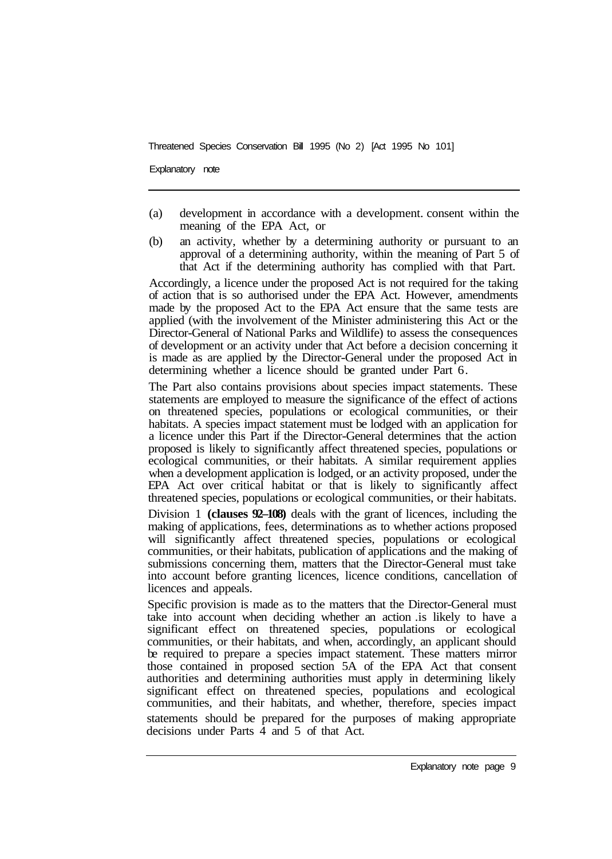Explanatory note

- (a) development in accordance with a development. consent within the meaning of the EPA Act, or
- (b) an activity, whether by a determining authority or pursuant to an approval of a determining authority, within the meaning of Part 5 of that Act if the determining authority has complied with that Part.

Accordingly, a licence under the proposed Act is not required for the taking of action that is so authorised under the EPA Act. However, amendments made by the proposed Act to the EPA Act ensure that the same tests are applied (with the involvement of the Minister administering this Act or the Director-General of National Parks and Wildlife) to assess the consequences of development or an activity under that Act before a decision concerning it is made as are applied by the Director-General under the proposed Act in determining whether a licence should be granted under Part 6.

The Part also contains provisions about species impact statements. These statements are employed to measure the significance of the effect of actions on threatened species, populations or ecological communities, or their habitats. A species impact statement must be lodged with an application for a licence under this Part if the Director-General determines that the action proposed is likely to significantly affect threatened species, populations or ecological communities, or their habitats. A similar requirement applies when a development application is lodged, or an activity proposed, under the EPA Act over critical habitat or that is likely to significantly affect threatened species, populations or ecological communities, or their habitats.

Division 1 **(clauses 92–108)** deals with the grant of licences, including the making of applications, fees, determinations as to whether actions proposed will significantly affect threatened species, populations or ecological communities, or their habitats, publication of applications and the making of submissions concerning them, matters that the Director-General must take into account before granting licences, licence conditions, cancellation of licences and appeals.

Specific provision is made as to the matters that the Director-General must take into account when deciding whether an action .is likely to have a significant effect on threatened species, populations or ecological communities, or their habitats, and when, accordingly, an applicant should be required to prepare a species impact statement. These matters mirror those contained in proposed section 5A of the EPA Act that consent authorities and determining authorities must apply in determining likely significant effect on threatened species, populations and ecological communities, and their habitats, and whether, therefore, species impact statements should be prepared for the purposes of making appropriate decisions under Parts 4 and 5 of that Act.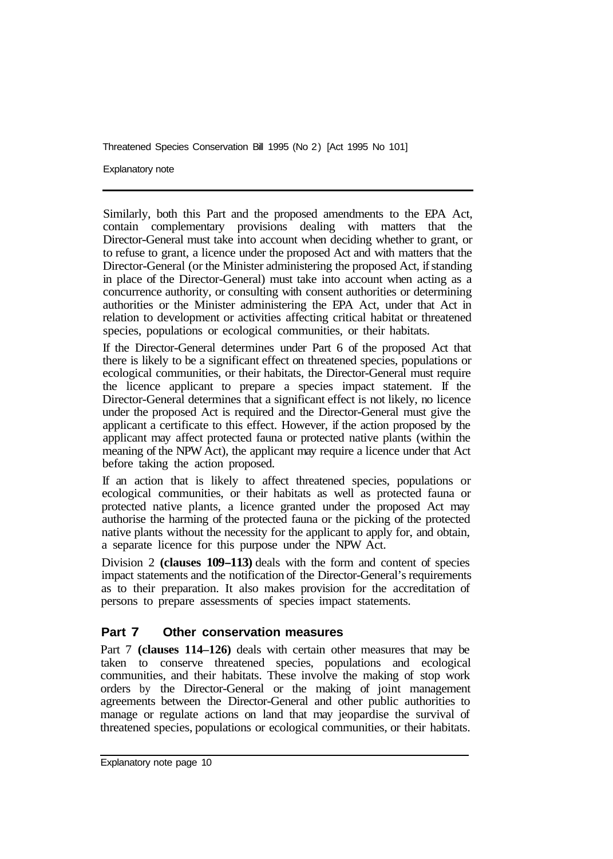Explanatory note

Similarly, both this Part and the proposed amendments to the EPA Act, contain complementary provisions dealing with matters that the Director-General must take into account when deciding whether to grant, or to refuse to grant, a licence under the proposed Act and with matters that the Director-General (or the Minister administering the proposed Act, if standing in place of the Director-General) must take into account when acting as a concurrence authority, or consulting with consent authorities or determining authorities or the Minister administering the EPA Act, under that Act in relation to development or activities affecting critical habitat or threatened species, populations or ecological communities, or their habitats.

If the Director-General determines under Part 6 of the proposed Act that there is likely to be a significant effect on threatened species, populations or ecological communities, or their habitats, the Director-General must require the licence applicant to prepare a species impact statement. If the Director-General determines that a significant effect is not likely, no licence under the proposed Act is required and the Director-General must give the applicant a certificate to this effect. However, if the action proposed by the applicant may affect protected fauna or protected native plants (within the meaning of the NPW Act), the applicant may require a licence under that Act before taking the action proposed.

If an action that is likely to affect threatened species, populations or ecological communities, or their habitats as well as protected fauna or protected native plants, a licence granted under the proposed Act may authorise the harming of the protected fauna or the picking of the protected native plants without the necessity for the applicant to apply for, and obtain, a separate licence for this purpose under the NPW Act.

Division 2 **(clauses 109-113)** deals with the form and content of species impact statements and the notification of the Director-General's requirements as to their preparation. It also makes provision for the accreditation of persons to prepare assessments of species impact statements.

#### **Part 7 Other conservation measures**

Part 7 **(clauses 114–126)** deals with certain other measures that may be taken to conserve threatened species, populations and ecological communities, and their habitats. These involve the making of stop work orders by the Director-General or the making of joint management agreements between the Director-General and other public authorities to manage or regulate actions on land that may jeopardise the survival of threatened species, populations or ecological communities, or their habitats.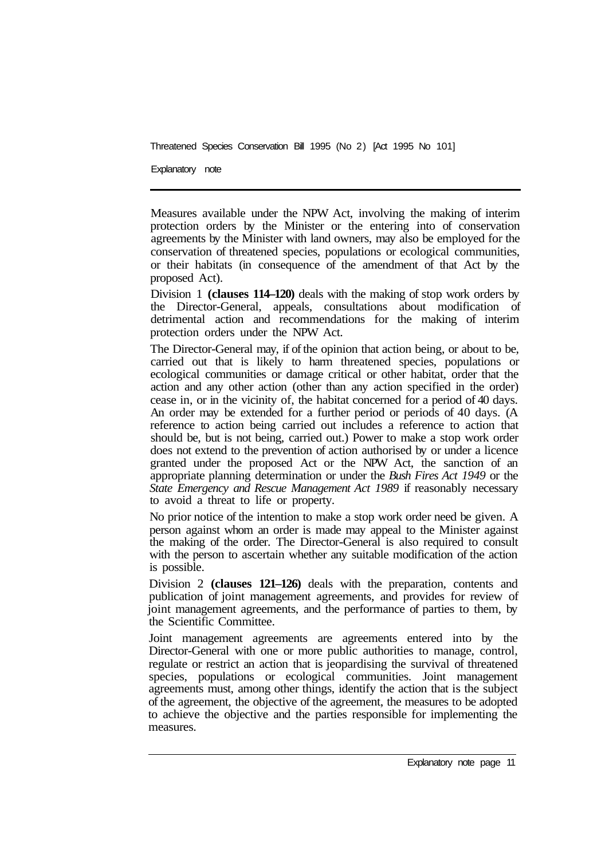Explanatory note

Measures available under the NPW Act, involving the making of interim protection orders by the Minister or the entering into of conservation agreements by the Minister with land owners, may also be employed for the conservation of threatened species, populations or ecological communities, or their habitats (in consequence of the amendment of that Act by the proposed Act).

Division 1 **(clauses 114–120)** deals with the making of stop work orders by the Director-General, appeals, consultations about modification of detrimental action and recommendations for the making of interim protection orders under the NPW Act.

The Director-General may, if of the opinion that action being, or about to be, carried out that is likely to harm threatened species, populations or ecological communities or damage critical or other habitat, order that the action and any other action (other than any action specified in the order) cease in, or in the vicinity of, the habitat concerned for a period of 40 days. An order may be extended for a further period or periods of 40 days. (A reference to action being carried out includes a reference to action that should be, but is not being, carried out.) Power to make a stop work order does not extend to the prevention of action authorised by or under a licence granted under the proposed Act or the NPW Act, the sanction of an appropriate planning determination or under the *Bush Fires Act 1949* or the *State Emergency and Rescue Management Act 1989* if reasonably necessary to avoid a threat to life or property.

No prior notice of the intention to make a stop work order need be given. A person against whom an order is made may appeal to the Minister against the making of the order. The Director-General is also required to consult with the person to ascertain whether any suitable modification of the action is possible.

Division 2 **(clauses 121–126)** deals with the preparation, contents and publication of joint management agreements, and provides for review of joint management agreements, and the performance of parties to them, by the Scientific Committee.

Joint management agreements are agreements entered into by the Director-General with one or more public authorities to manage, control, regulate or restrict an action that is jeopardising the survival of threatened species, populations or ecological communities. Joint management agreements must, among other things, identify the action that is the subject of the agreement, the objective of the agreement, the measures to be adopted to achieve the objective and the parties responsible for implementing the measures.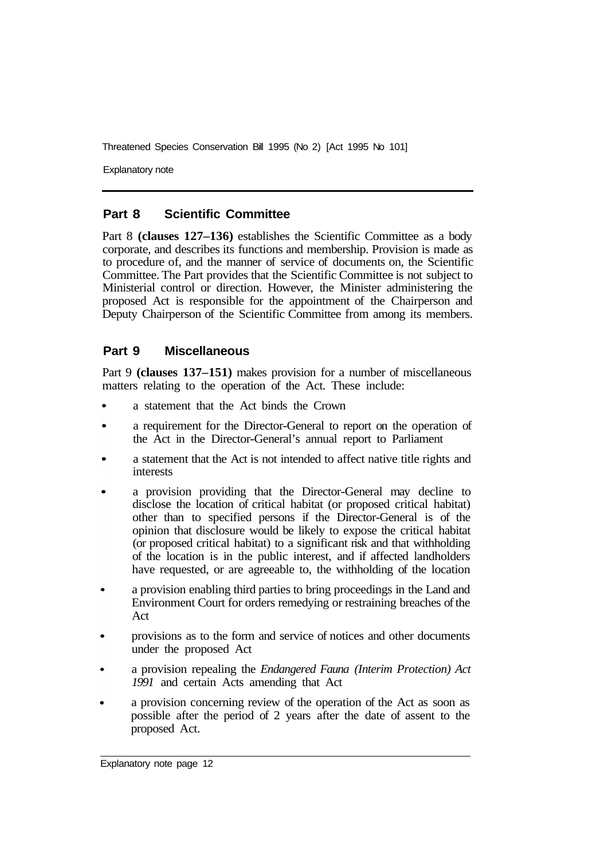Explanatory note

#### **Part 8 Scientific Committee**

Part 8 **(clauses 127–136)** establishes the Scientific Committee as a body corporate, and describes its functions and membership. Provision is made as to procedure of, and the manner of service of documents on, the Scientific Committee. The Part provides that the Scientific Committee is not subject to Ministerial control or direction. However, the Minister administering the proposed Act is responsible for the appointment of the Chairperson and Deputy Chairperson of the Scientific Committee from among its members.

#### **Part 9 Miscellaneous**

Part 9 **(clauses 137–151)** makes provision for a number of miscellaneous matters relating to the operation of the Act. These include:

- a statement that the Act binds the Crown
- a requirement for the Director-General to report on the operation of the Act in the Director-General's annual report to Parliament
- a statement that the Act is not intended to affect native title rights and interests
- a provision providing that the Director-General may decline to disclose the location of critical habitat (or proposed critical habitat) other than to specified persons if the Director-General is of the opinion that disclosure would be likely to expose the critical habitat (or proposed critical habitat) to a significant risk and that withholding of the location is in the public interest, and if affected landholders have requested, or are agreeable to, the withholding of the location
- a provision enabling third parties to bring proceedings in the Land and Environment Court for orders remedying or restraining breaches of the Act
- provisions as to the form and service of notices and other documents under the proposed Act
- a provision repealing the *Endangered Fauna (Interim Protection) Act 1991* and certain Acts amending that Act
- a provision concerning review of the operation of the Act as soon as possible after the period of 2 years after the date of assent to the proposed Act.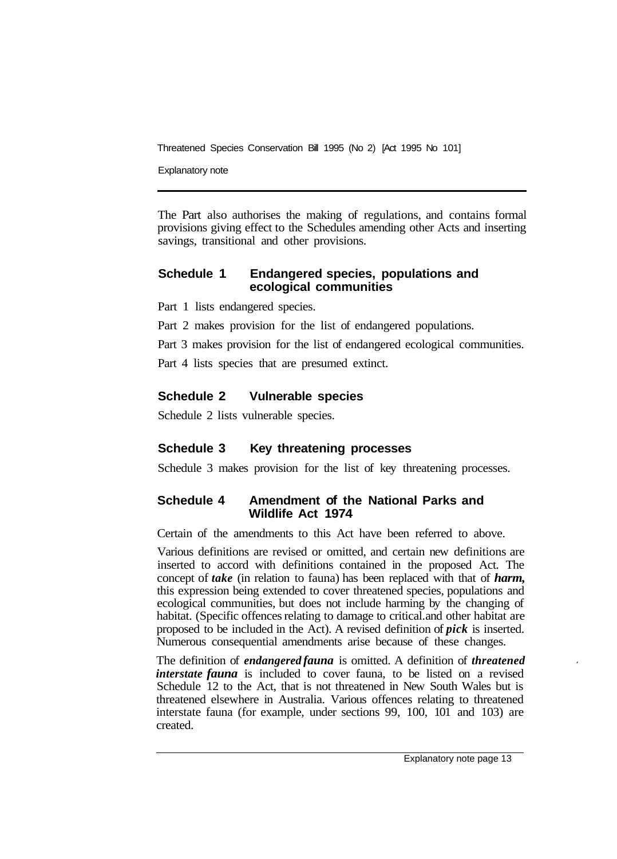Explanatory note

The Part also authorises the making of regulations, and contains formal provisions giving effect to the Schedules amending other Acts and inserting savings, transitional and other provisions.

#### **Schedule 1 Endangered species, populations and ecological communities**

Part 1 lists endangered species.

Part 2 makes provision for the list of endangered populations.

Part 3 makes provision for the list of endangered ecological communities.

Part 4 lists species that are presumed extinct.

#### **Schedule 2 Vulnerable species**

Schedule 2 lists vulnerable species.

#### **Schedule 3 Key threatening processes**

Schedule 3 makes provision for the list of key threatening processes.

#### **Schedule 4 Amendment of the National Parks and Wildlife Act 1974**

Certain of the amendments to this Act have been referred to above.

Various definitions are revised or omitted, and certain new definitions are inserted to accord with definitions contained in the proposed Act. The concept of *take* (in relation to fauna) has been replaced with that of *harm,*  this expression being extended to cover threatened species, populations and ecological communities, but does not include harming by the changing of habitat. (Specific offences relating to damage to critical. and other habitat are proposed to be included in the Act). A revised definition of *pick* is inserted. Numerous consequential amendments arise because of these changes.

The definition of *endangered fauna* is omitted. A definition of *threatened interstate fauna* is included to cover fauna, to be listed on a revised Schedule 12 to the Act, that is not threatened in New South Wales but is threatened elsewhere in Australia. Various offences relating to threatened interstate fauna (for example, under sections 99, 100, 101 and 103) are created.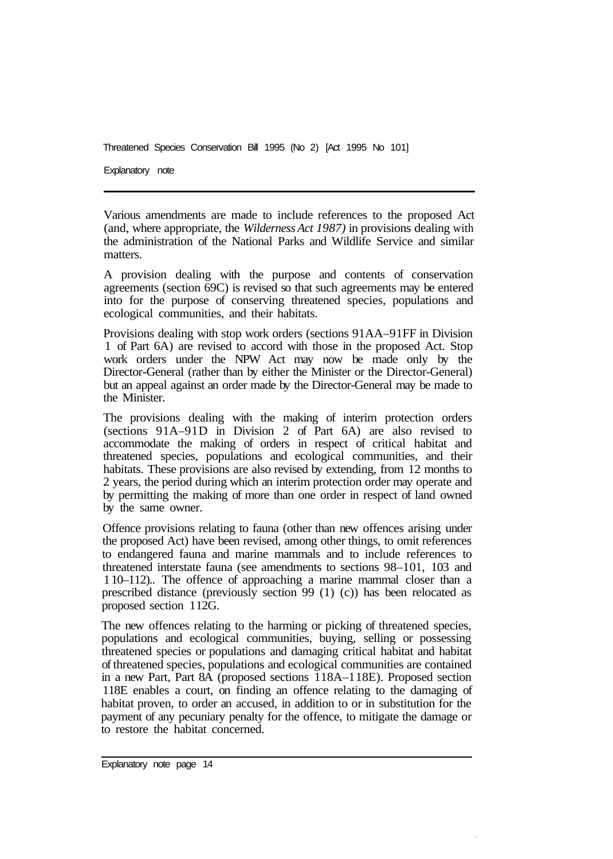Explanatory note

Various amendments are made to include references to the proposed Act (and, where appropriate, the *Wilderness Act 1987)* in provisions dealing with the administration of the National Parks and Wildlife Service and similar matters.

A provision dealing with the purpose and contents of conservation agreements (section 69C) is revised so that such agreements may be entered into for the purpose of conserving threatened species, populations and ecological communities, and their habitats.

Provisions dealing with stop work orders (sections 91AA–9 1FF in Division 1 of Part 6A) are revised to accord with those in the proposed Act. Stop work orders under the NPW Act may now be made only by the Director-General (rather than by either the Minister or the Director-General) but an appeal against an order made by the Director-General may be made to the Minister.

The provisions dealing with the making of interim protection orders (sections  $91A-91D$  in Division 2 of Part  $6A$ ) are also revised to accommodate the making of orders in respect of critical habitat and threatened species, populations and ecological communities, and their habitats. These provisions are also revised by extending, from 12 months to 2 years, the period during which an interim protection order may operate and by permitting the making of more than one order in respect of land owned by the same owner.

Offence provisions relating to fauna (other than new offences arising under the proposed Act) have been revised, among other things, to omit references to endangered fauna and marine mammals and to include references to threatened interstate fauna (see amendments to sections 98–101, 103 and 1 10–112).. The offence of approaching a marine mammal closer than a prescribed distance (previously section 99 (1) (c)) has been relocated as proposed section 1 12G.

The new offences relating to the harming or picking of threatened species, populations and ecological communities, buying, selling or possessing threatened species or populations and damaging critical habitat and habitat of threatened species, populations and ecological communities are contained in a new Part, Part 8A (proposed sections 118A–1 18E). Proposed section 118E enables a court, on finding an offence relating to the damaging of habitat proven, to order an accused, in addition to or in substitution for the payment of any pecuniary penalty for the offence, to mitigate the damage or to restore the habitat concerned.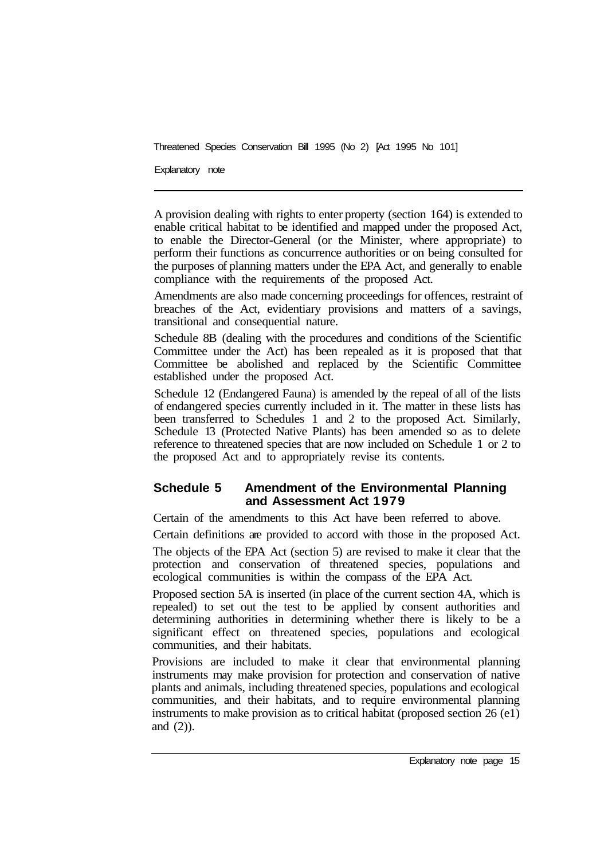Explanatory note

A provision dealing with rights to enter property (section 164) is extended to enable critical habitat to be identified and mapped under the proposed Act, to enable the Director-General (or the Minister, where appropriate) to perform their functions as concurrence authorities or on being consulted for the purposes of planning matters under the EPA Act, and generally to enable compliance with the requirements of the proposed Act.

Amendments are also made concerning proceedings for offences, restraint of breaches of the Act, evidentiary provisions and matters of a savings, transitional and consequential nature.

Schedule 8B (dealing with the procedures and conditions of the Scientific Committee under the Act) has been repealed as it is proposed that that Committee be abolished and replaced by the Scientific Committee established under the proposed Act.

Schedule 12 (Endangered Fauna) is amended by the repeal of all of the lists of endangered species currently included in it. The matter in these lists has been transferred to Schedules 1 and 2 to the proposed Act. Similarly, Schedule 13 (Protected Native Plants) has been amended so as to delete reference to threatened species that are now included on Schedule 1 or 2 to the proposed Act and to appropriately revise its contents.

#### **Schedule 5 Amendment of the Environmental Planning and Assessment Act 1979**

Certain of the amendments to this Act have been referred to above.

Certain definitions are provided to accord with those in the proposed Act.

The objects of the EPA Act (section 5) are revised to make it clear that the protection and conservation of threatened species, populations and ecological communities is within the compass of the EPA Act.

Proposed section 5A is inserted (in place of the current section 4A, which is repealed) to set out the test to be applied by consent authorities and determining authorities in determining whether there is likely to be a significant effect on threatened species, populations and ecological communities, and their habitats.

Provisions are included to make it clear that environmental planning instruments may make provision for protection and conservation of native plants and animals, including threatened species, populations and ecological communities, and their habitats, and to require environmental planning instruments to make provision as to critical habitat (proposed section 26 (e1) and (2)).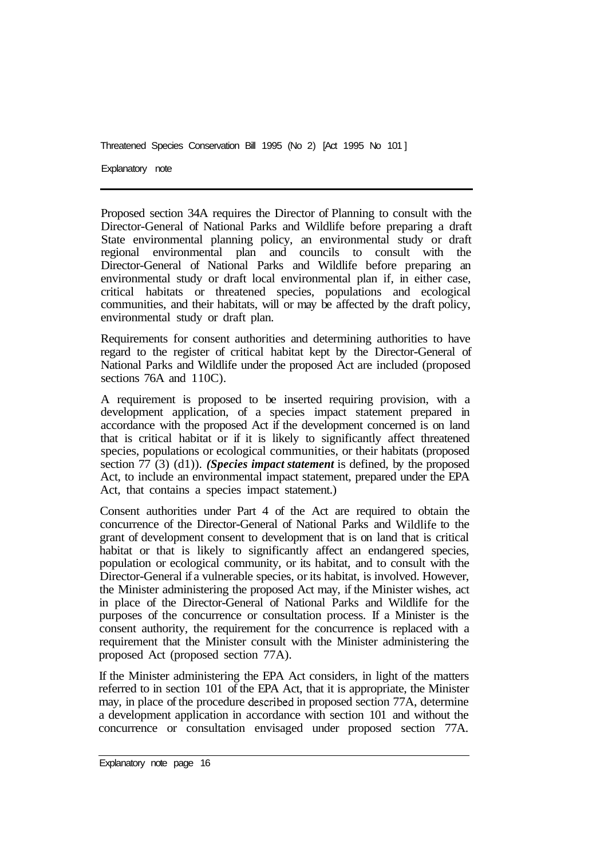Explanatory note

Proposed section 34A requires the Director of Planning to consult with the Director-General of National Parks and Wildlife before preparing a draft State environmental planning policy, an environmental study or draft regional environmental plan and councils to consult with the Director-General of National Parks and Wildlife before preparing an environmental study or draft local environmental plan if, in either case, critical habitats or threatened species, populations and ecological communities, and their habitats, will or may be affected by the draft policy, environmental study or draft plan.

Requirements for consent authorities and determining authorities to have regard to the register of critical habitat kept by the Director-General of National Parks and Wildlife under the proposed Act are included (proposed sections 76A and 110C).

A requirement is proposed to be inserted requiring provision, with a development application, of a species impact statement prepared in accordance with the proposed Act if the development concerned is on land that is critical habitat or if it is likely to significantly affect threatened species, populations or ecological communities, or their habitats (proposed section 77 (3) (d1)). *(Species impact statement* is defined, by the proposed Act, to include an environmental impact statement, prepared under the EPA Act, that contains a species impact statement.)

Consent authorities under Part 4 of the Act are required to obtain the concurrence of the Director-General of National Parks and Wildlife to the grant of development consent to development that is on land that is critical habitat or that is likely to significantly affect an endangered species, population or ecological community, or its habitat, and to consult with the Director-General if a vulnerable species, or its habitat, is involved. However, the Minister administering the proposed Act may, if the Minister wishes, act in place of the Director-General of National Parks and Wildlife for the purposes of the concurrence or consultation process. If a Minister is the consent authority, the requirement for the concurrence is replaced with a requirement that the Minister consult with the Minister administering the proposed Act (proposed section 77A).

If the Minister administering the EPA Act considers, in light of the matters referred to in section 101 of the EPA Act, that it is appropriate, the Minister may, in place of the procedure described in proposed section 77A, determine a development application in accordance with section 101 and without the concurrence or consultation envisaged under proposed section 77A.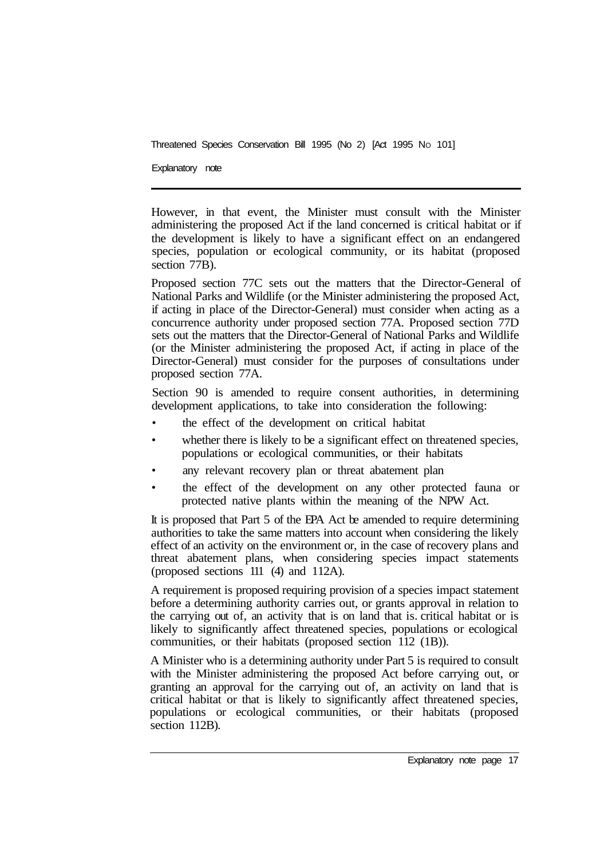Explanatory note

However, in that event, the Minister must consult with the Minister administering the proposed Act if the land concerned is critical habitat or if the development is likely to have a significant effect on an endangered species, population or ecological community, or its habitat (proposed section 77B).

Proposed section 77C sets out the matters that the Director-General of National Parks and Wildlife (or the Minister administering the proposed Act, if acting in place of the Director-General) must consider when acting as a concurrence authority under proposed section 77A. Proposed section 77D sets out the matters that the Director-General of National Parks and Wildlife (or the Minister administering the proposed Act, if acting in place of the Director-General) must consider for the purposes of consultations under proposed section 77A.

Section 90 is amended to require consent authorities, in determining development applications, to take into consideration the following:

- the effect of the development on critical habitat
- whether there is likely to be a significant effect on threatened species, populations or ecological communities, or their habitats
- any relevant recovery plan or threat abatement plan
- the effect of the development on any other protected fauna or protected native plants within the meaning of the NPW Act.

It is proposed that Part 5 of the EPA Act be amended to require determining authorities to take the same matters into account when considering the likely effect of an activity on the environment or, in the case of recovery plans and threat abatement plans, when considering species impact statements (proposed sections 111 (4) and 112A).

A requirement is proposed requiring provision of a species impact statement before a determining authority carries out, or grants approval in relation to the carrying out of, an activity that is on land that is. critical habitat or is likely to significantly affect threatened species, populations or ecological communities, or their habitats (proposed section 112 (1B)).

A Minister who is a determining authority under Part 5 is required to consult with the Minister administering the proposed Act before carrying out, or granting an approval for the carrying out of, an activity on land that is critical habitat or that is likely to significantly affect threatened species, populations or ecological communities, or their habitats (proposed section 112B).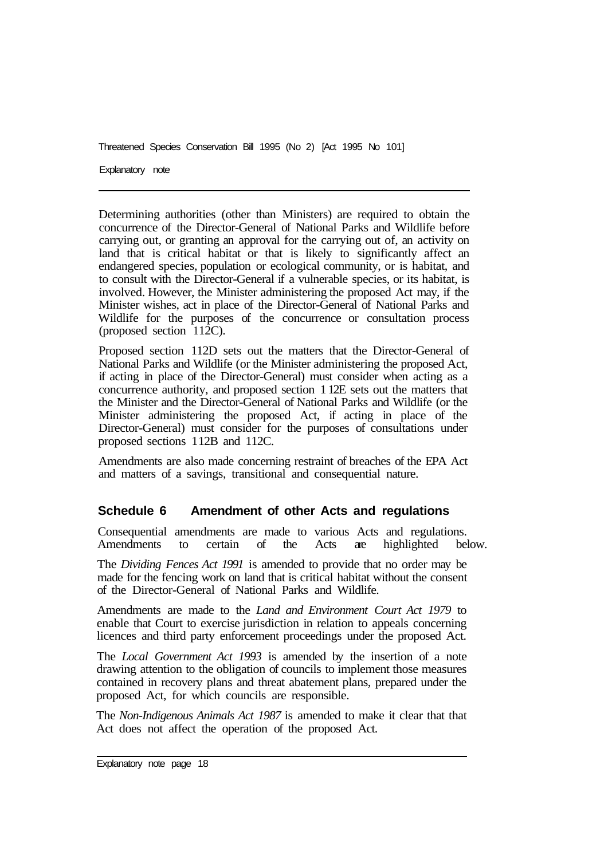Explanatory note

Determining authorities (other than Ministers) are required to obtain the concurrence of the Director-General of National Parks and Wildlife before carrying out, or granting an approval for the carrying out of, an activity on land that is critical habitat or that is likely to significantly affect an endangered species, population or ecological community, or is habitat, and to consult with the Director-General if a vulnerable species, or its habitat, is involved. However, the Minister administering the proposed Act may, if the Minister wishes, act in place of the Director-General of National Parks and Wildlife for the purposes of the concurrence or consultation process (proposed section  $112C$ ).

Proposed section 112D sets out the matters that the Director-General of National Parks and Wildlife (or the Minister administering the proposed Act, if acting in place of the Director-General) must consider when acting as a concurrence authority, and proposed section 1 12E sets out the matters that the Minister and the Director-General of National Parks and Wildlife (or the Minister administering the proposed Act, if acting in place of the Director-General) must consider for the purposes of consultations under proposed sections 1 12B and 112C.

Amendments are also made concerning restraint of breaches of the EPA Act and matters of a savings, transitional and consequential nature.

#### **Schedule 6 Amendment of other Acts and regulations**

Consequential amendments are made to various Acts and regulations. Amendments to certain of the Acts are highlighted below.

The *Dividing Fences Act 1991* is amended to provide that no order may be made for the fencing work on land that is critical habitat without the consent of the Director-General of National Parks and Wildlife.

Amendments are made to the *Land and Environment Court Act 1979* to enable that Court to exercise jurisdiction in relation to appeals concerning licences and third party enforcement proceedings under the proposed Act.

The *Local Government Act 1993* is amended by the insertion of a note drawing attention to the obligation of councils to implement those measures contained in recovery plans and threat abatement plans, prepared under the proposed Act, for which councils are responsible.

The *Non-Indigenous Animals Act 1987* is amended to make it clear that that Act does not affect the operation of the proposed Act.